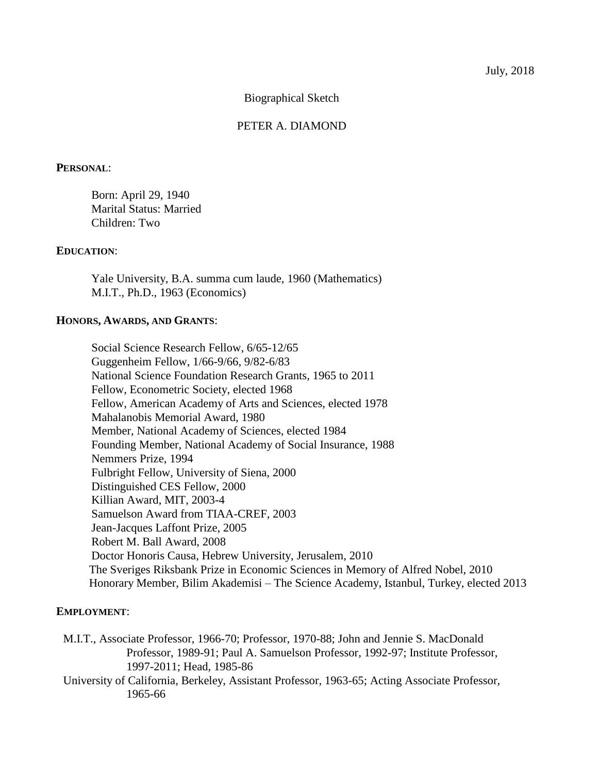Biographical Sketch

# PETER A. DIAMOND

#### **PERSONAL**:

Born: April 29, 1940 Marital Status: Married Children: Two

#### **EDUCATION**:

Yale University, B.A. summa cum laude, 1960 (Mathematics) M.I.T., Ph.D., 1963 (Economics)

### **HONORS, AWARDS, AND GRANTS**:

Social Science Research Fellow, 6/65-12/65 Guggenheim Fellow, 1/66-9/66, 9/82-6/83 National Science Foundation Research Grants, 1965 to 2011 Fellow, Econometric Society, elected 1968 Fellow, American Academy of Arts and Sciences, elected 1978 Mahalanobis Memorial Award, 1980 Member, National Academy of Sciences, elected 1984 Founding Member, National Academy of Social Insurance, 1988 Nemmers Prize, 1994 Fulbright Fellow, University of Siena, 2000 Distinguished CES Fellow, 2000 Killian Award, MIT, 2003-4 Samuelson Award from TIAA-CREF, 2003 Jean-Jacques Laffont Prize, 2005 Robert M. Ball Award, 2008 Doctor Honoris Causa, Hebrew University, Jerusalem, 2010 The Sveriges Riksbank Prize in Economic Sciences in Memory of Alfred Nobel, 2010 Honorary Member, Bilim Akademisi – The Science Academy, Istanbul, Turkey, elected 2013

#### **EMPLOYMENT**:

- M.I.T., Associate Professor, 1966-70; Professor, 1970-88; John and Jennie S. MacDonald Professor, 1989-91; Paul A. Samuelson Professor, 1992-97; Institute Professor, 1997-2011; Head, 1985-86
- University of California, Berkeley, Assistant Professor, 1963-65; Acting Associate Professor, 1965-66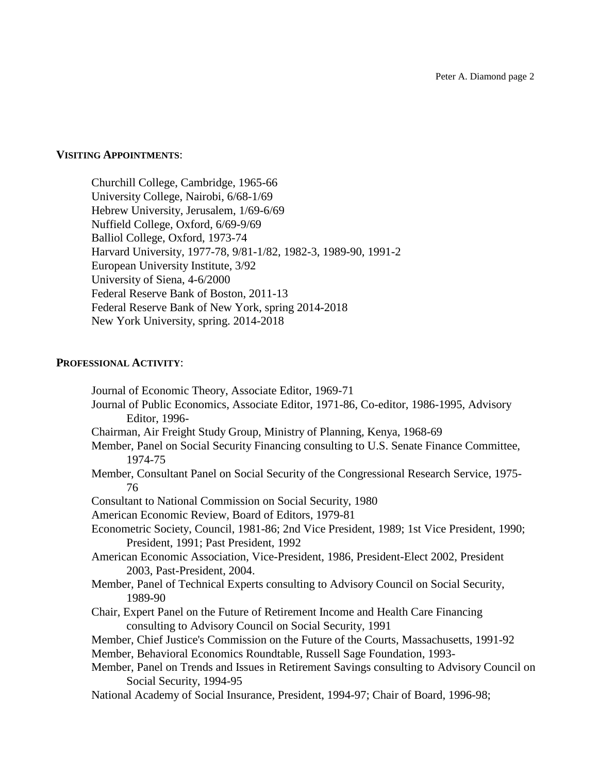### **VISITING APPOINTMENTS**:

Churchill College, Cambridge, 1965-66 University College, Nairobi, 6/68-1/69 Hebrew University, Jerusalem, 1/69-6/69 Nuffield College, Oxford, 6/69-9/69 Balliol College, Oxford, 1973-74 Harvard University, 1977-78, 9/81-1/82, 1982-3, 1989-90, 1991-2 European University Institute, 3/92 University of Siena, 4-6/2000 Federal Reserve Bank of Boston, 2011-13 Federal Reserve Bank of New York, spring 2014-2018 New York University, spring. 2014-2018

### **PROFESSIONAL ACTIVITY**:

Journal of Economic Theory, Associate Editor, 1969-71 Journal of Public Economics, Associate Editor, 1971-86, Co-editor, 1986-1995, Advisory Editor, 1996- Chairman, Air Freight Study Group, Ministry of Planning, Kenya, 1968-69 Member, Panel on Social Security Financing consulting to U.S. Senate Finance Committee, 1974-75 Member, Consultant Panel on Social Security of the Congressional Research Service, 1975- 76 Consultant to National Commission on Social Security, 1980 American Economic Review, Board of Editors, 1979-81 Econometric Society, Council, 1981-86; 2nd Vice President, 1989; 1st Vice President, 1990; President, 1991; Past President, 1992 American Economic Association, Vice-President, 1986, President-Elect 2002, President 2003, Past-President, 2004. Member, Panel of Technical Experts consulting to Advisory Council on Social Security, 1989-90 Chair, Expert Panel on the Future of Retirement Income and Health Care Financing consulting to Advisory Council on Social Security, 1991 Member, Chief Justice's Commission on the Future of the Courts, Massachusetts, 1991-92 Member, Behavioral Economics Roundtable, Russell Sage Foundation, 1993- Member, Panel on Trends and Issues in Retirement Savings consulting to Advisory Council on Social Security, 1994-95 National Academy of Social Insurance, President, 1994-97; Chair of Board, 1996-98;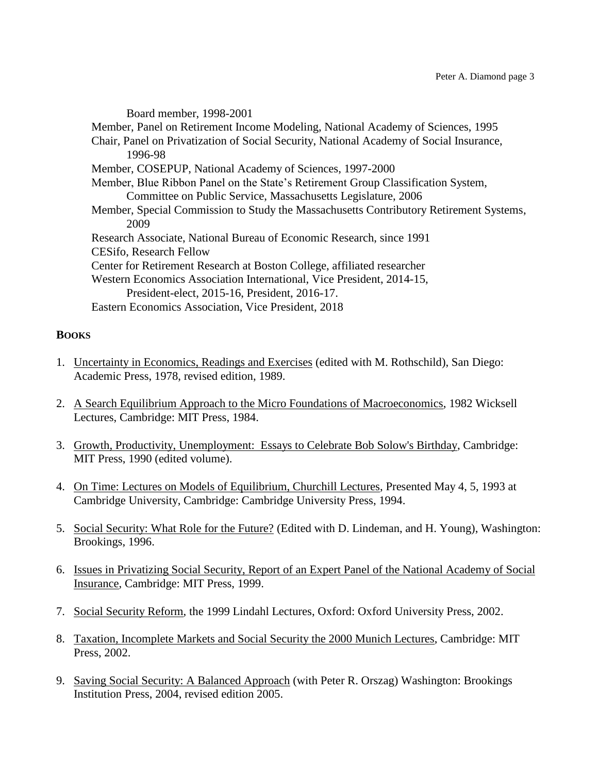Board member, 1998-2001 Member, Panel on Retirement Income Modeling, National Academy of Sciences, 1995 Chair, Panel on Privatization of Social Security, National Academy of Social Insurance, 1996-98 Member, COSEPUP, National Academy of Sciences, 1997-2000 Member, Blue Ribbon Panel on the State's Retirement Group Classification System, Committee on Public Service, Massachusetts Legislature, 2006 Member, Special Commission to Study the Massachusetts Contributory Retirement Systems, 2009 Research Associate, National Bureau of Economic Research, since 1991 CESifo, Research Fellow Center for Retirement Research at Boston College, affiliated researcher Western Economics Association International, Vice President, 2014-15, President-elect, 2015-16, President, 2016-17. Eastern Economics Association, Vice President, 2018

# **BOOKS**

- 1. Uncertainty in Economics, Readings and Exercises (edited with M. Rothschild), San Diego: Academic Press, 1978, revised edition, 1989.
- 2. A Search Equilibrium Approach to the Micro Foundations of Macroeconomics, 1982 Wicksell Lectures, Cambridge: MIT Press, 1984.
- 3. Growth, Productivity, Unemployment: Essays to Celebrate Bob Solow's Birthday, Cambridge: MIT Press, 1990 (edited volume).
- 4. On Time: Lectures on Models of Equilibrium, Churchill Lectures, Presented May 4, 5, 1993 at Cambridge University, Cambridge: Cambridge University Press, 1994.
- 5. Social Security: What Role for the Future? (Edited with D. Lindeman, and H. Young), Washington: Brookings, 1996.
- 6. Issues in Privatizing Social Security, Report of an Expert Panel of the National Academy of Social Insurance, Cambridge: MIT Press, 1999.
- 7. Social Security Reform, the 1999 Lindahl Lectures, Oxford: Oxford University Press, 2002.
- 8. Taxation, Incomplete Markets and Social Security the 2000 Munich Lectures, Cambridge: MIT Press, 2002.
- 9. Saving Social Security: A Balanced Approach (with Peter R. Orszag) Washington: Brookings Institution Press, 2004, revised edition 2005.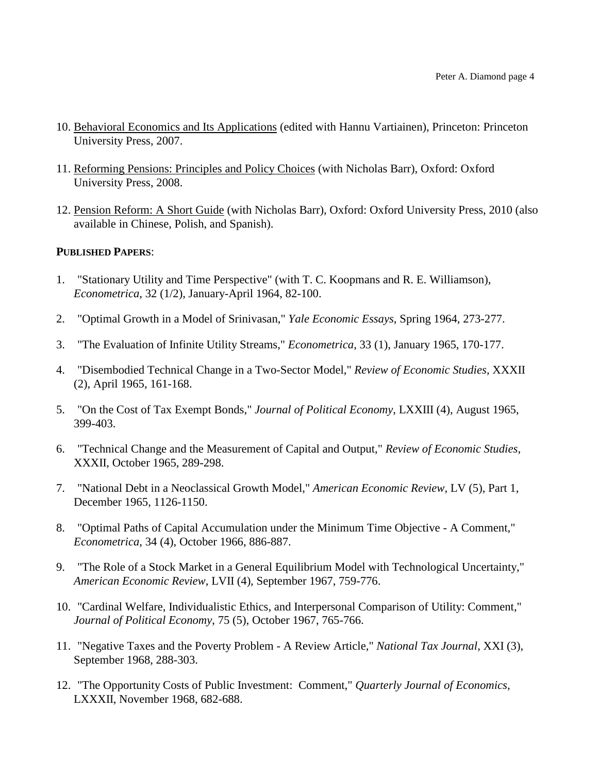- 10. Behavioral Economics and Its Applications (edited with Hannu Vartiainen), Princeton: Princeton University Press, 2007.
- 11. Reforming Pensions: Principles and Policy Choices (with Nicholas Barr), Oxford: Oxford University Press, 2008.
- 12. Pension Reform: A Short Guide (with Nicholas Barr), Oxford: Oxford University Press, 2010 (also available in Chinese, Polish, and Spanish).

## **PUBLISHED PAPERS**:

- 1. "Stationary Utility and Time Perspective" (with T. C. Koopmans and R. E. Williamson), *Econometrica*, 32 (1/2), January-April 1964, 82-100.
- 2. "Optimal Growth in a Model of Srinivasan," *Yale Economic Essays*, Spring 1964, 273-277.
- 3. "The Evaluation of Infinite Utility Streams," *Econometrica*, 33 (1), January 1965, 170-177.
- 4. "Disembodied Technical Change in a Two-Sector Model," *Review of Economic Studies*, XXXII (2), April 1965, 161-168.
- 5. "On the Cost of Tax Exempt Bonds," *Journal of Political Economy*, LXXIII (4), August 1965, 399-403.
- 6. "Technical Change and the Measurement of Capital and Output," *Review of Economic Studies*, XXXII, October 1965, 289-298.
- 7. "National Debt in a Neoclassical Growth Model," *American Economic Review*, LV (5), Part 1, December 1965, 1126-1150.
- 8. "Optimal Paths of Capital Accumulation under the Minimum Time Objective A Comment," *Econometrica*, 34 (4), October 1966, 886-887.
- 9. "The Role of a Stock Market in a General Equilibrium Model with Technological Uncertainty," *American Economic Review*, LVII (4), September 1967, 759-776.
- 10. "Cardinal Welfare, Individualistic Ethics, and Interpersonal Comparison of Utility: Comment," *Journal of Political Economy*, 75 (5), October 1967, 765-766.
- 11. "Negative Taxes and the Poverty Problem A Review Article," *National Tax Journal*, XXI (3), September 1968, 288-303.
- 12. "The Opportunity Costs of Public Investment: Comment," *Quarterly Journal of Economics*, LXXXII, November 1968, 682-688.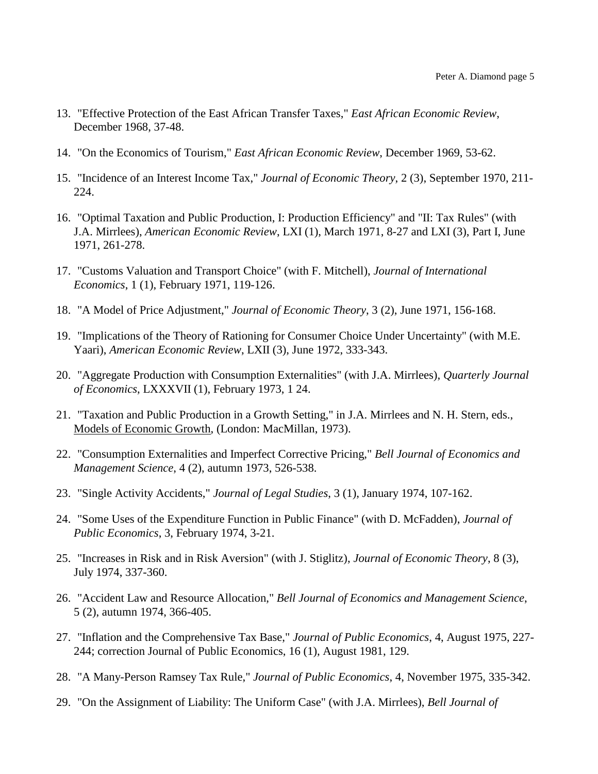- 13. "Effective Protection of the East African Transfer Taxes," *East African Economic Review*, December 1968, 37-48.
- 14. "On the Economics of Tourism," *East African Economic Review*, December 1969, 53-62.
- 15. "Incidence of an Interest Income Tax," *Journal of Economic Theory*, 2 (3), September 1970, 211- 224.
- 16. "Optimal Taxation and Public Production, I: Production Efficiency" and "II: Tax Rules" (with J.A. Mirrlees), *American Economic Review*, LXI (1), March 1971, 8-27 and LXI (3), Part I, June 1971, 261-278.
- 17. "Customs Valuation and Transport Choice" (with F. Mitchell), *Journal of International Economics*, 1 (1), February 1971, 119-126.
- 18. "A Model of Price Adjustment," *Journal of Economic Theory*, 3 (2), June 1971, 156-168.
- 19. "Implications of the Theory of Rationing for Consumer Choice Under Uncertainty" (with M.E. Yaari), *American Economic Review*, LXII (3), June 1972, 333-343.
- 20. "Aggregate Production with Consumption Externalities" (with J.A. Mirrlees), *Quarterly Journal of Economics*, LXXXVII (1), February 1973, 1 24.
- 21. "Taxation and Public Production in a Growth Setting," in J.A. Mirrlees and N. H. Stern, eds., Models of Economic Growth, (London: MacMillan, 1973).
- 22. "Consumption Externalities and Imperfect Corrective Pricing," *Bell Journal of Economics and Management Science*, 4 (2), autumn 1973, 526-538.
- 23. "Single Activity Accidents," *Journal of Legal Studies*, 3 (1), January 1974, 107-162.
- 24. "Some Uses of the Expenditure Function in Public Finance" (with D. McFadden), *Journal of Public Economics*, 3, February 1974, 3-21.
- 25. "Increases in Risk and in Risk Aversion" (with J. Stiglitz), *Journal of Economic Theory*, 8 (3), July 1974, 337-360.
- 26. "Accident Law and Resource Allocation," *Bell Journal of Economics and Management Science*, 5 (2), autumn 1974, 366-405.
- 27. "Inflation and the Comprehensive Tax Base," *Journal of Public Economics*, 4, August 1975, 227- 244; correction Journal of Public Economics, 16 (1), August 1981, 129.
- 28. "A Many-Person Ramsey Tax Rule," *Journal of Public Economics*, 4, November 1975, 335-342.
- 29. "On the Assignment of Liability: The Uniform Case" (with J.A. Mirrlees), *Bell Journal of*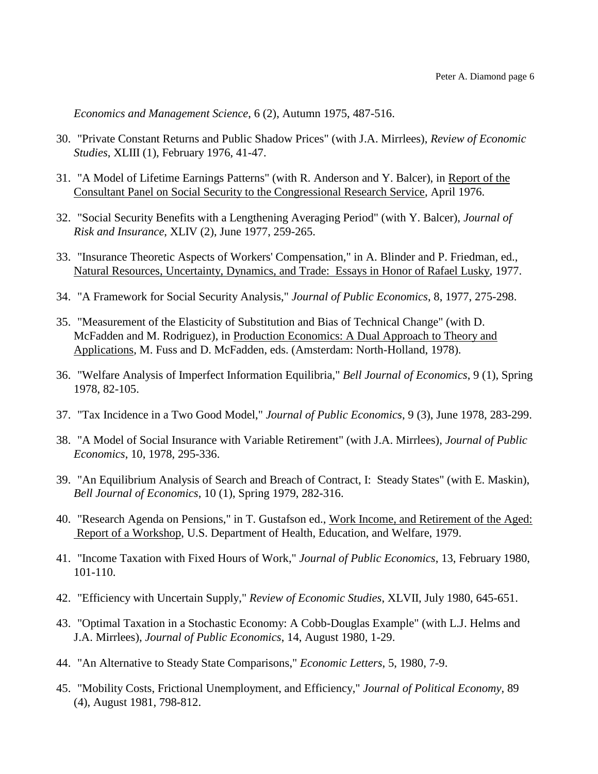*Economics and Management Science*, 6 (2), Autumn 1975, 487-516.

- 30. "Private Constant Returns and Public Shadow Prices" (with J.A. Mirrlees), *Review of Economic Studies*, XLIII (1), February 1976, 41-47.
- 31. "A Model of Lifetime Earnings Patterns" (with R. Anderson and Y. Balcer), in Report of the Consultant Panel on Social Security to the Congressional Research Service, April 1976.
- 32. "Social Security Benefits with a Lengthening Averaging Period" (with Y. Balcer), *Journal of Risk and Insurance*, XLIV (2), June 1977, 259-265.
- 33. "Insurance Theoretic Aspects of Workers' Compensation," in A. Blinder and P. Friedman, ed., Natural Resources, Uncertainty, Dynamics, and Trade: Essays in Honor of Rafael Lusky, 1977.
- 34. "A Framework for Social Security Analysis," *Journal of Public Economics*, 8, 1977, 275-298.
- 35. "Measurement of the Elasticity of Substitution and Bias of Technical Change" (with D. McFadden and M. Rodriguez), in Production Economics: A Dual Approach to Theory and Applications, M. Fuss and D. McFadden, eds. (Amsterdam: North-Holland, 1978).
- 36. "Welfare Analysis of Imperfect Information Equilibria," *Bell Journal of Economics*, 9 (1), Spring 1978, 82-105.
- 37. "Tax Incidence in a Two Good Model," *Journal of Public Economics*, 9 (3), June 1978, 283-299.
- 38. "A Model of Social Insurance with Variable Retirement" (with J.A. Mirrlees), *Journal of Public Economics*, 10, 1978, 295-336.
- 39. "An Equilibrium Analysis of Search and Breach of Contract, I: Steady States" (with E. Maskin), *Bell Journal of Economics*, 10 (1), Spring 1979, 282-316.
- 40. "Research Agenda on Pensions," in T. Gustafson ed., Work Income, and Retirement of the Aged: Report of a Workshop, U.S. Department of Health, Education, and Welfare, 1979.
- 41. "Income Taxation with Fixed Hours of Work," *Journal of Public Economics*, 13, February 1980, 101-110.
- 42. "Efficiency with Uncertain Supply," *Review of Economic Studies*, XLVII, July 1980, 645-651.
- 43. "Optimal Taxation in a Stochastic Economy: A Cobb-Douglas Example" (with L.J. Helms and J.A. Mirrlees), *Journal of Public Economics*, 14, August 1980, 1-29.
- 44. "An Alternative to Steady State Comparisons," *Economic Letters*, 5, 1980, 7-9.
- 45. "Mobility Costs, Frictional Unemployment, and Efficiency," *Journal of Political Economy*, 89 (4), August 1981, 798-812.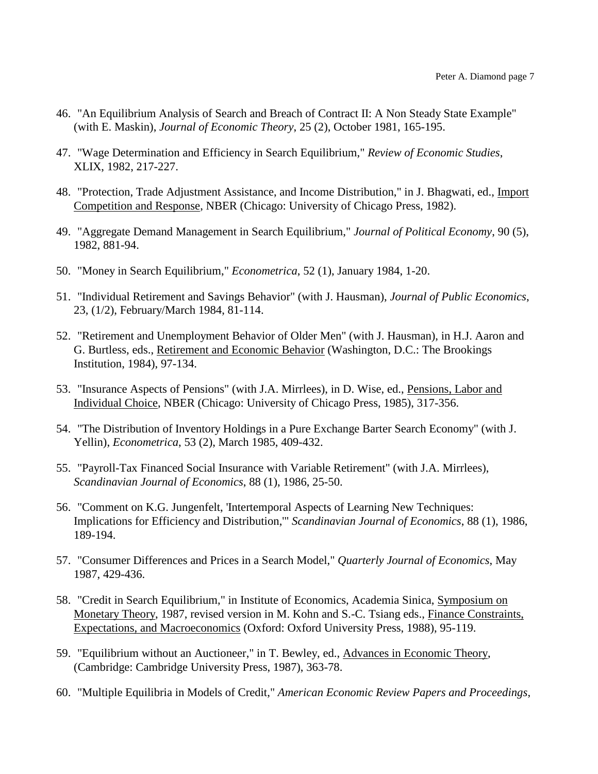- 46. "An Equilibrium Analysis of Search and Breach of Contract II: A Non Steady State Example" (with E. Maskin), *Journal of Economic Theory*, 25 (2), October 1981, 165-195.
- 47. "Wage Determination and Efficiency in Search Equilibrium," *Review of Economic Studies*, XLIX, 1982, 217-227.
- 48. "Protection, Trade Adjustment Assistance, and Income Distribution," in J. Bhagwati, ed., Import Competition and Response, NBER (Chicago: University of Chicago Press, 1982).
- 49. "Aggregate Demand Management in Search Equilibrium," *Journal of Political Economy*, 90 (5), 1982, 881-94.
- 50. "Money in Search Equilibrium," *Econometrica*, 52 (1), January 1984, 1-20.
- 51. "Individual Retirement and Savings Behavior" (with J. Hausman), *Journal of Public Economics*, 23, (1/2), February/March 1984, 81-114.
- 52. "Retirement and Unemployment Behavior of Older Men" (with J. Hausman), in H.J. Aaron and G. Burtless, eds., Retirement and Economic Behavior (Washington, D.C.: The Brookings Institution, 1984), 97-134.
- 53. "Insurance Aspects of Pensions" (with J.A. Mirrlees), in D. Wise, ed., Pensions, Labor and Individual Choice, NBER (Chicago: University of Chicago Press, 1985), 317-356.
- 54. "The Distribution of Inventory Holdings in a Pure Exchange Barter Search Economy" (with J. Yellin), *Econometrica*, 53 (2), March 1985, 409-432.
- 55. "Payroll-Tax Financed Social Insurance with Variable Retirement" (with J.A. Mirrlees), *Scandinavian Journal of Economics*, 88 (1), 1986, 25-50.
- 56. "Comment on K.G. Jungenfelt, 'Intertemporal Aspects of Learning New Techniques: Implications for Efficiency and Distribution,'" *Scandinavian Journal of Economics*, 88 (1), 1986, 189-194.
- 57. "Consumer Differences and Prices in a Search Model," *Quarterly Journal of Economics*, May 1987, 429-436.
- 58. "Credit in Search Equilibrium," in Institute of Economics, Academia Sinica, Symposium on Monetary Theory, 1987, revised version in M. Kohn and S.-C. Tsiang eds., Finance Constraints, Expectations, and Macroeconomics (Oxford: Oxford University Press, 1988), 95-119.
- 59. "Equilibrium without an Auctioneer," in T. Bewley, ed., Advances in Economic Theory, (Cambridge: Cambridge University Press, 1987), 363-78.
- 60. "Multiple Equilibria in Models of Credit," *American Economic Review Papers and Proceedings*,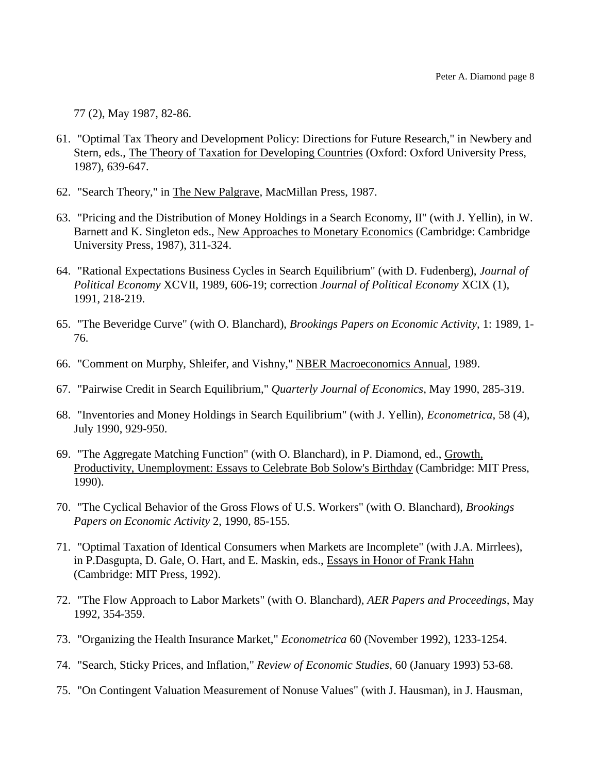77 (2), May 1987, 82-86.

- 61. "Optimal Tax Theory and Development Policy: Directions for Future Research," in Newbery and Stern, eds., The Theory of Taxation for Developing Countries (Oxford: Oxford University Press, 1987), 639-647.
- 62. "Search Theory," in The New Palgrave, MacMillan Press, 1987.
- 63. "Pricing and the Distribution of Money Holdings in a Search Economy, II" (with J. Yellin), in W. Barnett and K. Singleton eds., New Approaches to Monetary Economics (Cambridge: Cambridge University Press, 1987), 311-324.
- 64. "Rational Expectations Business Cycles in Search Equilibrium" (with D. Fudenberg), *Journal of Political Economy* XCVII, 1989, 606-19; correction *Journal of Political Economy* XCIX (1), 1991, 218-219.
- 65. "The Beveridge Curve" (with O. Blanchard), *Brookings Papers on Economic Activity*, 1: 1989, 1- 76.
- 66. "Comment on Murphy, Shleifer, and Vishny," NBER Macroeconomics Annual, 1989.
- 67. "Pairwise Credit in Search Equilibrium," *Quarterly Journal of Economics*, May 1990, 285-319.
- 68. "Inventories and Money Holdings in Search Equilibrium" (with J. Yellin), *Econometrica*, 58 (4), July 1990, 929-950.
- 69. "The Aggregate Matching Function" (with O. Blanchard), in P. Diamond, ed., Growth, Productivity, Unemployment: Essays to Celebrate Bob Solow's Birthday (Cambridge: MIT Press, 1990).
- 70. "The Cyclical Behavior of the Gross Flows of U.S. Workers" (with O. Blanchard), *Brookings Papers on Economic Activity* 2, 1990, 85-155.
- 71. "Optimal Taxation of Identical Consumers when Markets are Incomplete" (with J.A. Mirrlees), in P.Dasgupta, D. Gale, O. Hart, and E. Maskin, eds., Essays in Honor of Frank Hahn (Cambridge: MIT Press, 1992).
- 72. "The Flow Approach to Labor Markets" (with O. Blanchard), *AER Papers and Proceedings*, May 1992, 354-359.
- 73. "Organizing the Health Insurance Market," *Econometrica* 60 (November 1992), 1233-1254.
- 74. "Search, Sticky Prices, and Inflation," *Review of Economic Studies*, 60 (January 1993) 53-68.
- 75. "On Contingent Valuation Measurement of Nonuse Values" (with J. Hausman), in J. Hausman,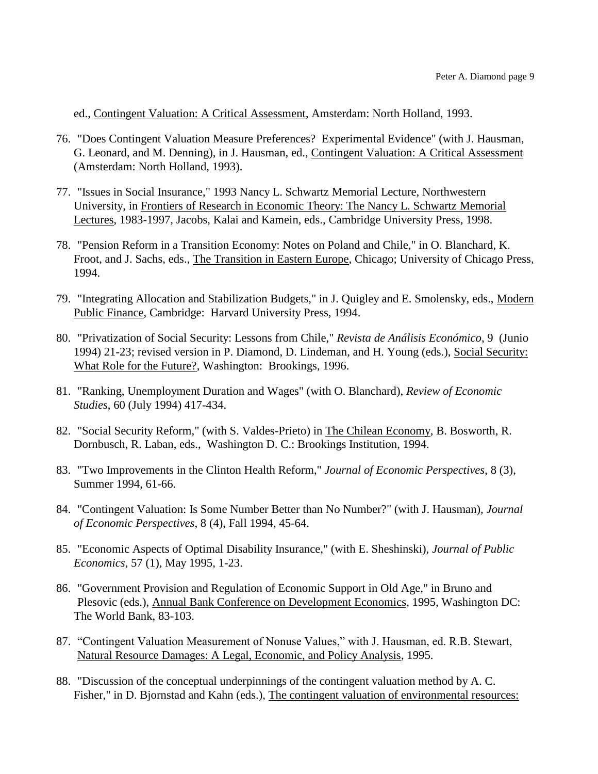ed., Contingent Valuation: A Critical Assessment, Amsterdam: North Holland, 1993.

- 76. "Does Contingent Valuation Measure Preferences? Experimental Evidence" (with J. Hausman, G. Leonard, and M. Denning), in J. Hausman, ed., Contingent Valuation: A Critical Assessment (Amsterdam: North Holland, 1993).
- 77. "Issues in Social Insurance," 1993 Nancy L. Schwartz Memorial Lecture, Northwestern University, in Frontiers of Research in Economic Theory: The Nancy L. Schwartz Memorial Lectures, 1983-1997, Jacobs, Kalai and Kamein, eds., Cambridge University Press, 1998.
- 78. "Pension Reform in a Transition Economy: Notes on Poland and Chile," in O. Blanchard, K. Froot, and J. Sachs, eds., The Transition in Eastern Europe, Chicago; University of Chicago Press, 1994.
- 79. "Integrating Allocation and Stabilization Budgets," in J. Quigley and E. Smolensky, eds., Modern Public Finance, Cambridge: Harvard University Press, 1994.
- 80. "Privatization of Social Security: Lessons from Chile," *Revista de Análisis Económico*, 9 (Junio 1994) 21-23; revised version in P. Diamond, D. Lindeman, and H. Young (eds.), Social Security: What Role for the Future?, Washington: Brookings, 1996.
- 81. "Ranking, Unemployment Duration and Wages" (with O. Blanchard), *Review of Economic Studies*, 60 (July 1994) 417-434.
- 82. "Social Security Reform," (with S. Valdes-Prieto) in The Chilean Economy, B. Bosworth, R. Dornbusch, R. Laban, eds., Washington D. C.: Brookings Institution, 1994.
- 83. "Two Improvements in the Clinton Health Reform," *Journal of Economic Perspectives*, 8 (3), Summer 1994, 61-66.
- 84. "Contingent Valuation: Is Some Number Better than No Number?" (with J. Hausman), *Journal of Economic Perspectives*, 8 (4), Fall 1994, 45-64.
- 85. "Economic Aspects of Optimal Disability Insurance," (with E. Sheshinski), *Journal of Public Economics*, 57 (1), May 1995, 1-23.
- 86. "Government Provision and Regulation of Economic Support in Old Age," in Bruno and Plesovic (eds.), Annual Bank Conference on Development Economics, 1995, Washington DC: The World Bank, 83-103.
- 87. "Contingent Valuation Measurement of Nonuse Values," with J. Hausman, ed. R.B. Stewart, Natural Resource Damages: A Legal, Economic, and Policy Analysis, 1995.
- 88. "Discussion of the conceptual underpinnings of the contingent valuation method by A. C. Fisher," in D. Bjornstad and Kahn (eds.), The contingent valuation of environmental resources: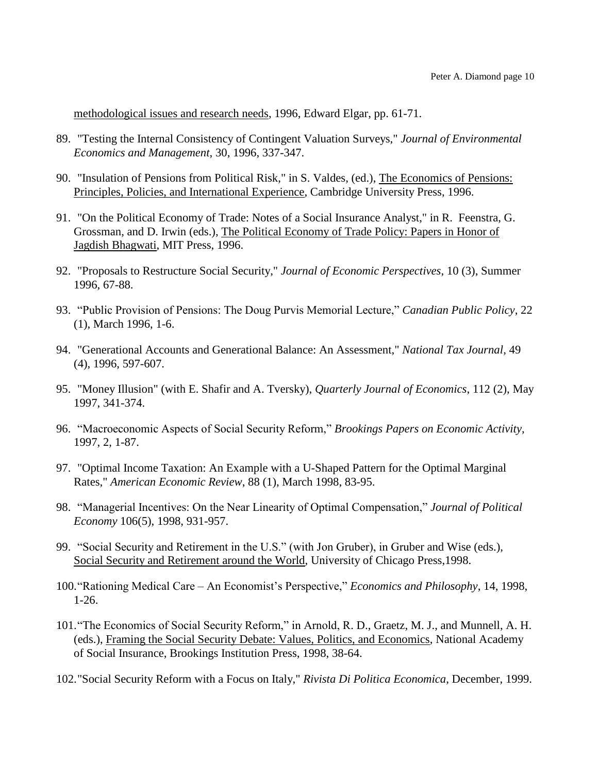methodological issues and research needs, 1996, Edward Elgar, pp. 61-71.

- 89. "Testing the Internal Consistency of Contingent Valuation Surveys," *Journal of Environmental Economics and Management*, 30, 1996, 337-347.
- 90. "Insulation of Pensions from Political Risk," in S. Valdes, (ed.), The Economics of Pensions: Principles, Policies, and International Experience, Cambridge University Press, 1996.
- 91. "On the Political Economy of Trade: Notes of a Social Insurance Analyst," in R. Feenstra, G. Grossman, and D. Irwin (eds.), The Political Economy of Trade Policy: Papers in Honor of Jagdish Bhagwati, MIT Press, 1996.
- 92. "Proposals to Restructure Social Security," *Journal of Economic Perspectives*, 10 (3), Summer 1996, 67-88.
- 93. "Public Provision of Pensions: The Doug Purvis Memorial Lecture," *Canadian Public Policy*, 22 (1), March 1996, 1-6.
- 94. "Generational Accounts and Generational Balance: An Assessment," *National Tax Journal*, 49 (4), 1996, 597-607.
- 95. "Money Illusion" (with E. Shafir and A. Tversky), *Quarterly Journal of Economics*, 112 (2), May 1997, 341-374.
- 96. "Macroeconomic Aspects of Social Security Reform," *Brookings Papers on Economic Activity*, 1997, 2, 1-87.
- 97. "Optimal Income Taxation: An Example with a U-Shaped Pattern for the Optimal Marginal Rates," *American Economic Review*, 88 (1), March 1998, 83-95.
- 98. "Managerial Incentives: On the Near Linearity of Optimal Compensation," *Journal of Political Economy* 106(5), 1998, 931-957.
- 99. "Social Security and Retirement in the U.S." (with Jon Gruber), in Gruber and Wise (eds.), Social Security and Retirement around the World, University of Chicago Press,1998.
- 100."Rationing Medical Care An Economist's Perspective," *Economics and Philosophy*, 14, 1998, 1-26.
- 101."The Economics of Social Security Reform," in Arnold, R. D., Graetz, M. J., and Munnell, A. H. (eds.), Framing the Social Security Debate: Values, Politics, and Economics, National Academy of Social Insurance, Brookings Institution Press, 1998, 38-64.
- 102."Social Security Reform with a Focus on Italy," *Rivista Di Politica Economica*, December, 1999.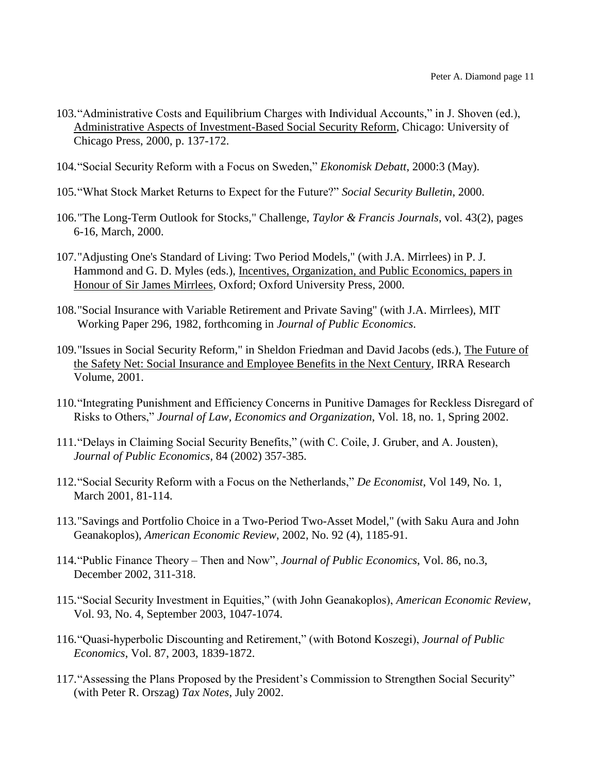- 103."Administrative Costs and Equilibrium Charges with Individual Accounts," in J. Shoven (ed.), Administrative Aspects of Investment-Based Social Security Reform, Chicago: University of Chicago Press, 2000, p. 137-172.
- 104."Social Security Reform with a Focus on Sweden," *Ekonomisk Debatt*, 2000:3 (May).
- 105."What Stock Market Returns to Expect for the Future?" *Social Security Bulletin*, 2000.
- 106."The Long-Term Outlook for Stocks," Challenge, *Taylor & Francis Journals*, vol. 43(2), pages 6-16, March, 2000.
- 107."Adjusting One's Standard of Living: Two Period Models," (with J.A. Mirrlees) in P. J. Hammond and G. D. Myles (eds.), Incentives, Organization, and Public Economics, papers in Honour of Sir James Mirrlees, Oxford; Oxford University Press, 2000.
- 108."Social Insurance with Variable Retirement and Private Saving" (with J.A. Mirrlees), MIT Working Paper 296, 1982, forthcoming in *Journal of Public Economics*.
- 109."Issues in Social Security Reform," in Sheldon Friedman and David Jacobs (eds.), The Future of the Safety Net: Social Insurance and Employee Benefits in the Next Century, IRRA Research Volume, 2001.
- 110."Integrating Punishment and Efficiency Concerns in Punitive Damages for Reckless Disregard of Risks to Others," *Journal of Law, Economics and Organization*, Vol. 18, no. 1, Spring 2002.
- 111."Delays in Claiming Social Security Benefits," (with C. Coile, J. Gruber, and A. Jousten), *Journal of Public Economics*, 84 (2002) 357-385.
- 112."Social Security Reform with a Focus on the Netherlands," *De Economist*, Vol 149, No. 1, March 2001, 81-114.
- 113."Savings and Portfolio Choice in a Two-Period Two-Asset Model," (with Saku Aura and John Geanakoplos), *American Economic Review*, 2002, No. 92 (4), 1185-91.
- 114."Public Finance Theory Then and Now", *Journal of Public Economics*, Vol. 86, no.3, December 2002, 311-318.
- 115."Social Security Investment in Equities," (with John Geanakoplos), *American Economic Review*, Vol. 93, No. 4, September 2003, 1047-1074.
- 116."Quasi-hyperbolic Discounting and Retirement," (with Botond Koszegi), *Journal of Public Economics*, Vol. 87, 2003, 1839-1872.
- 117."Assessing the Plans Proposed by the President's Commission to Strengthen Social Security" (with Peter R. Orszag) *Tax Notes*, July 2002.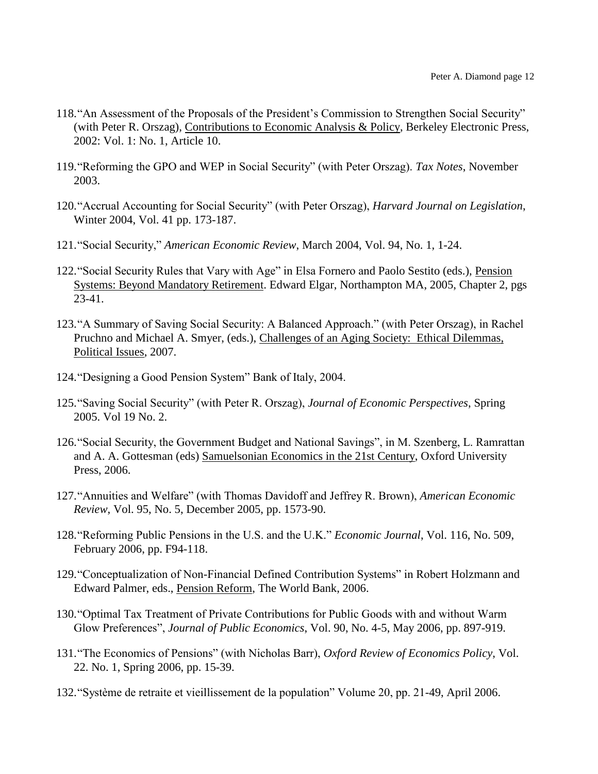- 118."An Assessment of the Proposals of the President's Commission to Strengthen Social Security" (with Peter R. Orszag), Contributions to Economic Analysis & Policy, Berkeley Electronic Press, 2002: Vol. 1: No. 1, Article 10.
- 119."Reforming the GPO and WEP in Social Security" (with Peter Orszag). *Tax Notes*, November 2003.
- 120."Accrual Accounting for Social Security" (with Peter Orszag), *Harvard Journal on Legislation*, Winter 2004, Vol. 41 pp. 173-187.
- 121."Social Security," *American Economic Review*, March 2004, Vol. 94, No. 1, 1-24.
- 122. "Social Security Rules that Vary with Age" in Elsa Fornero and Paolo Sestito (eds.), Pension Systems: Beyond Mandatory Retirement. Edward Elgar, Northampton MA, 2005, Chapter 2, pgs 23-41.
- 123."A Summary of Saving Social Security: A Balanced Approach." (with Peter Orszag), in Rachel Pruchno and Michael A. Smyer, (eds.), Challenges of an Aging Society: Ethical Dilemmas, Political Issues, 2007.
- 124."Designing a Good Pension System" Bank of Italy, 2004.
- 125."Saving Social Security" (with Peter R. Orszag), *Journal of Economic Perspectives*, Spring 2005. Vol 19 No. 2.
- 126."Social Security, the Government Budget and National Savings", in M. Szenberg, L. Ramrattan and A. A. Gottesman (eds) Samuelsonian Economics in the 21st Century, Oxford University Press, 2006.
- 127."Annuities and Welfare" (with Thomas Davidoff and Jeffrey R. Brown), *American Economic Review*, Vol. 95, No. 5, December 2005, pp. 1573-90.
- 128."Reforming Public Pensions in the U.S. and the U.K." *Economic Journal*, Vol. 116, No. 509, February 2006, pp. F94-118.
- 129."Conceptualization of Non-Financial Defined Contribution Systems" in Robert Holzmann and Edward Palmer, eds., Pension Reform, The World Bank, 2006.
- 130."Optimal Tax Treatment of Private Contributions for Public Goods with and without Warm Glow Preferences", *Journal of Public Economics*, Vol. 90, No. 4-5, May 2006, pp. 897-919.
- 131."The Economics of Pensions" (with Nicholas Barr), *Oxford Review of Economics Policy*, Vol. 22. No. 1, Spring 2006, pp. 15-39.
- 132."Système de retraite et vieillissement de la population" Volume 20, pp. 21-49, April 2006.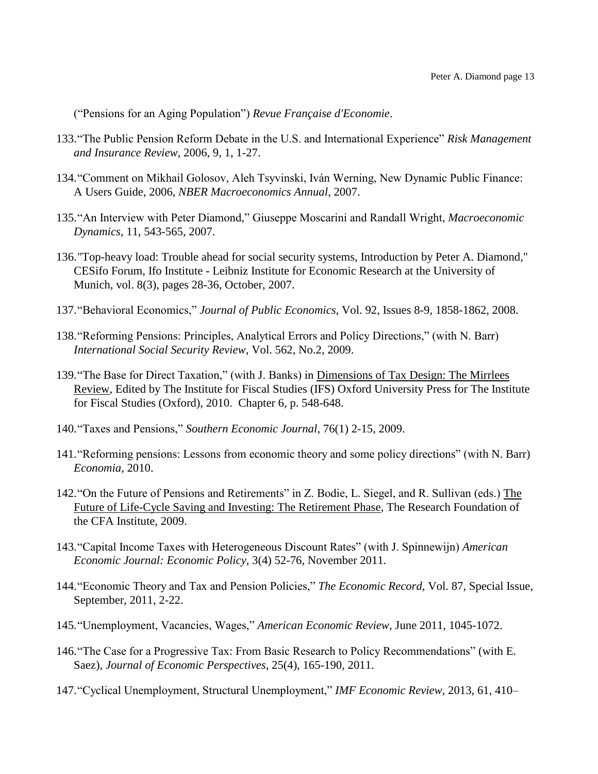("Pensions for an Aging Population") *Revue Française d'Economie*.

- 133."The Public Pension Reform Debate in the U.S. and International Experience" *Risk Management and Insurance Review*, 2006, 9, 1, 1-27.
- 134."Comment on Mikhail Golosov, Aleh Tsyvinski, Iván Werning, New Dynamic Public Finance: A Users Guide, 2006, *NBER Macroeconomics Annual*, 2007.
- 135."An Interview with Peter Diamond," Giuseppe Moscarini and Randall Wright, *Macroeconomic Dynamics*, 11, 543-565, 2007.
- 136."Top-heavy load: Trouble ahead for social security systems, Introduction by Peter A. Diamond," CESifo Forum, Ifo Institute - Leibniz Institute for Economic Research at the University of Munich, vol. 8(3), pages 28-36, October, 2007.
- 137."Behavioral Economics," *Journal of Public Economics*, Vol. 92, Issues 8-9, 1858-1862, 2008.
- 138."Reforming Pensions: Principles, Analytical Errors and Policy Directions," (with N. Barr) *International Social Security Review*, Vol. 562, No.2, 2009.
- 139."The Base for Direct Taxation," (with J. Banks) in Dimensions of Tax Design: The Mirrlees Review, Edited by The Institute for Fiscal Studies (IFS) Oxford University Press for The Institute for Fiscal Studies (Oxford), 2010. Chapter 6, p. 548-648.
- 140."Taxes and Pensions," *Southern Economic Journal*, 76(1) 2-15, 2009.
- 141."Reforming pensions: Lessons from economic theory and some policy directions" (with N. Barr) *Economia*, 2010.
- 142."On the Future of Pensions and Retirements" in Z. Bodie, L. Siegel, and R. Sullivan (eds.) The Future of Life-Cycle Saving and Investing: The Retirement Phase, The Research Foundation of the CFA Institute, 2009.
- 143."Capital Income Taxes with Heterogeneous Discount Rates" (with J. Spinnewijn) *American Economic Journal: Economic Policy*, 3(4) 52-76, November 2011.
- 144."Economic Theory and Tax and Pension Policies," *The Economic Record*, Vol. 87, Special Issue, September, 2011, 2-22.
- 145."Unemployment, Vacancies, Wages," *American Economic Review*, June 2011, 1045-1072.
- 146."The Case for a Progressive Tax: From Basic Research to Policy Recommendations" (with E. Saez), *Journal of Economic Perspectives*, 25(4), 165-190, 2011.
- 147."Cyclical Unemployment, Structural Unemployment," *IMF Economic Review*, 2013, 61, 410–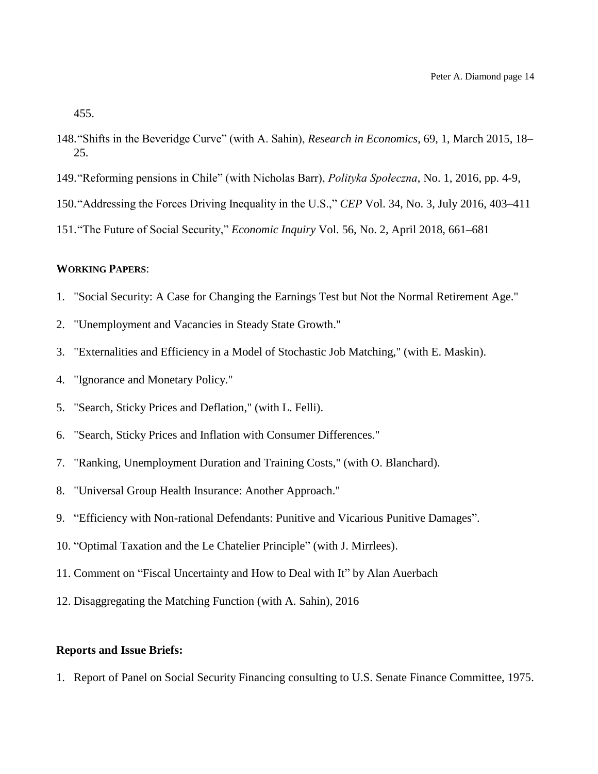455.

- 148."Shifts in the Beveridge Curve" (with A. Sahin), *Research in Economics*, 69, 1, March 2015, 18– 25.
- 149."Reforming pensions in Chile" (with Nicholas Barr), *Polityka Społeczna*, No. 1, 2016, pp. 4-9,
- 150."Addressing the Forces Driving Inequality in the U.S.," *CEP* Vol. 34, No. 3, July 2016, 403–411
- 151."The Future of Social Security," *Economic Inquiry* Vol. 56, No. 2, April 2018, 661–681

### **WORKING PAPERS**:

- 1. "Social Security: A Case for Changing the Earnings Test but Not the Normal Retirement Age."
- 2. "Unemployment and Vacancies in Steady State Growth."
- 3. "Externalities and Efficiency in a Model of Stochastic Job Matching," (with E. Maskin).
- 4. "Ignorance and Monetary Policy."
- 5. "Search, Sticky Prices and Deflation," (with L. Felli).
- 6. "Search, Sticky Prices and Inflation with Consumer Differences."
- 7. "Ranking, Unemployment Duration and Training Costs," (with O. Blanchard).
- 8. "Universal Group Health Insurance: Another Approach."
- 9. "Efficiency with Non-rational Defendants: Punitive and Vicarious Punitive Damages".
- 10. "Optimal Taxation and the Le Chatelier Principle" (with J. Mirrlees).
- 11. Comment on "Fiscal Uncertainty and How to Deal with It" by Alan Auerbach
- 12. Disaggregating the Matching Function (with A. Sahin), 2016

### **Reports and Issue Briefs:**

1. Report of Panel on Social Security Financing consulting to U.S. Senate Finance Committee, 1975.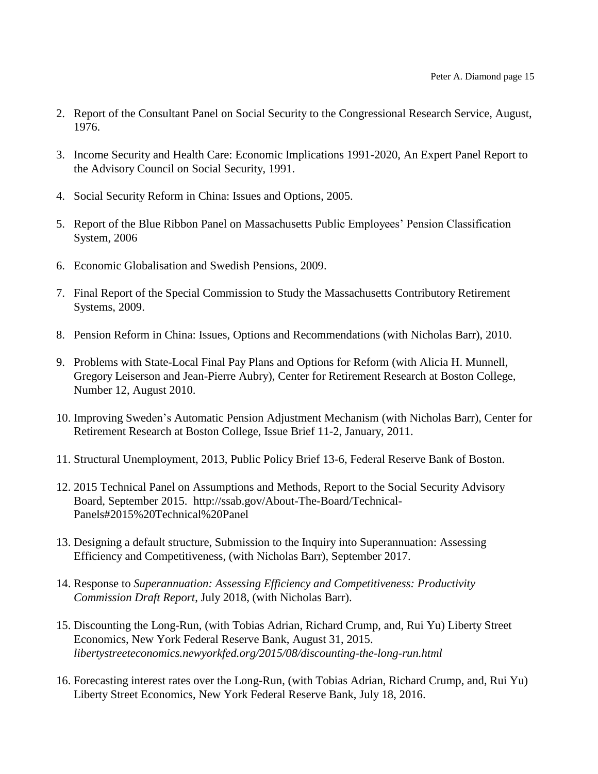- 2. Report of the Consultant Panel on Social Security to the Congressional Research Service, August, 1976.
- 3. Income Security and Health Care: Economic Implications 1991-2020, An Expert Panel Report to the Advisory Council on Social Security, 1991.
- 4. Social Security Reform in China: Issues and Options, 2005.
- 5. Report of the Blue Ribbon Panel on Massachusetts Public Employees' Pension Classification System, 2006
- 6. Economic Globalisation and Swedish Pensions, 2009.
- 7. Final Report of the Special Commission to Study the Massachusetts Contributory Retirement Systems, 2009.
- 8. Pension Reform in China: Issues, Options and Recommendations (with Nicholas Barr), 2010.
- 9. Problems with State-Local Final Pay Plans and Options for Reform (with Alicia H. Munnell, Gregory Leiserson and Jean-Pierre Aubry), Center for Retirement Research at Boston College, Number 12, August 2010.
- 10. Improving Sweden's Automatic Pension Adjustment Mechanism (with Nicholas Barr), Center for Retirement Research at Boston College, Issue Brief 11-2, January, 2011.
- 11. Structural Unemployment, 2013, Public Policy Brief 13-6, Federal Reserve Bank of Boston.
- 12. 2015 Technical Panel on Assumptions and Methods, Report to the Social Security Advisory Board, September 2015. http://ssab.gov/About-The-Board/Technical-Panels#2015%20Technical%20Panel
- 13. Designing a default structure, Submission to the Inquiry into Superannuation: Assessing Efficiency and Competitiveness, (with Nicholas Barr), September 2017.
- 14. Response to *Superannuation: Assessing Efficiency and Competitiveness: Productivity Commission Draft Report*, July 2018, (with Nicholas Barr).
- 15. Discounting the Long-Run, (with Tobias Adrian, Richard Crump, and, Rui Yu) Liberty Street Economics, New York Federal Reserve Bank, August 31, 2015. *libertystreeteconomics.newyorkfed.org/2015/08/discounting-the-long-run.html*
- 16. Forecasting interest rates over the Long-Run, (with Tobias Adrian, Richard Crump, and, Rui Yu) Liberty Street Economics, New York Federal Reserve Bank, July 18, 2016.